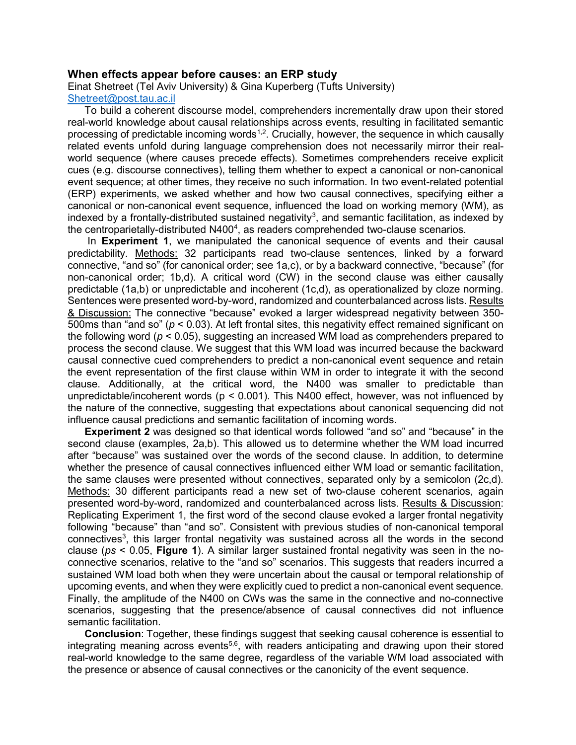#### When effects appear before causes: an ERP study

Einat Shetreet (Tel Aviv University) & Gina Kuperberg (Tufts University)

# Shetreet@post.tau.ac.il

To build a coherent discourse model, comprehenders incrementally draw upon their stored real-world knowledge about causal relationships across events, resulting in facilitated semantic processing of predictable incoming words<sup> $1,2$ </sup>. Crucially, however, the sequence in which causally related events unfold during language comprehension does not necessarily mirror their realworld sequence (where causes precede effects). Sometimes comprehenders receive explicit cues (e.g. discourse connectives), telling them whether to expect a canonical or non-canonical event sequence; at other times, they receive no such information. In two event-related potential (ERP) experiments, we asked whether and how two causal connectives, specifying either a canonical or non-canonical event sequence, influenced the load on working memory (WM), as indexed by a frontally-distributed sustained negativity<sup>3</sup>, and semantic facilitation, as indexed by the centroparietally-distributed N400<sup>4</sup>, as readers comprehended two-clause scenarios.

In **Experiment 1**, we manipulated the canonical sequence of events and their causal predictability. Methods: 32 participants read two-clause sentences, linked by a forward connective, "and so" (for canonical order; see 1a,c), or by a backward connective, "because" (for non-canonical order; 1b,d). A critical word (CW) in the second clause was either causally predictable (1a,b) or unpredictable and incoherent (1c,d), as operationalized by cloze norming. Sentences were presented word-by-word, randomized and counterbalanced across lists. Results & Discussion: The connective "because" evoked a larger widespread negativity between 350- 500ms than "and so" ( $p < 0.03$ ). At left frontal sites, this negativity effect remained significant on the following word ( $p < 0.05$ ), suggesting an increased WM load as comprehenders prepared to process the second clause. We suggest that this WM load was incurred because the backward causal connective cued comprehenders to predict a non-canonical event sequence and retain the event representation of the first clause within WM in order to integrate it with the second clause. Additionally, at the critical word, the N400 was smaller to predictable than unpredictable/incoherent words ( $p < 0.001$ ). This N400 effect, however, was not influenced by the nature of the connective, suggesting that expectations about canonical sequencing did not influence causal predictions and semantic facilitation of incoming words.

Experiment 2 was designed so that identical words followed "and so" and "because" in the second clause (examples, 2a,b). This allowed us to determine whether the WM load incurred after "because" was sustained over the words of the second clause. In addition, to determine whether the presence of causal connectives influenced either WM load or semantic facilitation, the same clauses were presented without connectives, separated only by a semicolon (2c,d). Methods: 30 different participants read a new set of two-clause coherent scenarios, again presented word-by-word, randomized and counterbalanced across lists. Results & Discussion: Replicating Experiment 1, the first word of the second clause evoked a larger frontal negativity following "because" than "and so". Consistent with previous studies of non-canonical temporal connectives<sup>3</sup>, this larger frontal negativity was sustained across all the words in the second clause ( $ps < 0.05$ , Figure 1). A similar larger sustained frontal negativity was seen in the noconnective scenarios, relative to the "and so" scenarios. This suggests that readers incurred a sustained WM load both when they were uncertain about the causal or temporal relationship of upcoming events, and when they were explicitly cued to predict a non-canonical event sequence. Finally, the amplitude of the N400 on CWs was the same in the connective and no-connective scenarios, suggesting that the presence/absence of causal connectives did not influence semantic facilitation.

Conclusion: Together, these findings suggest that seeking causal coherence is essential to integrating meaning across events<sup>5,6</sup>, with readers anticipating and drawing upon their stored real-world knowledge to the same degree, regardless of the variable WM load associated with the presence or absence of causal connectives or the canonicity of the event sequence.